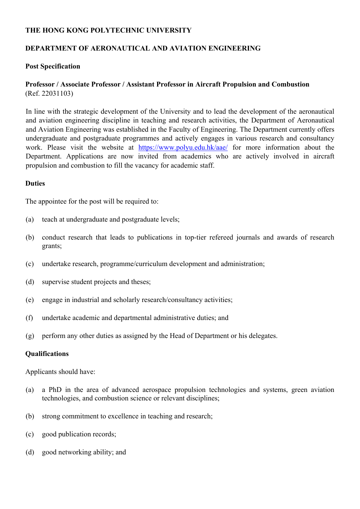## **THE HONG KONG POLYTECHNIC UNIVERSITY**

# **DEPARTMENT OF AERONAUTICAL AND AVIATION ENGINEERING**

### **Post Specification**

## **Professor / Associate Professor / Assistant Professor in Aircraft Propulsion and Combustion**  (Ref. 22031103)

In line with the strategic development of the University and to lead the development of the aeronautical and aviation engineering discipline in teaching and research activities, the Department of Aeronautical and Aviation Engineering was established in the Faculty of Engineering. The Department currently offers undergraduate and postgraduate programmes and actively engages in various research and consultancy work. Please visit the website at https://www.polyu.edu.hk/aae/ for more information about the Department. Applications are now invited from academics who are actively involved in aircraft propulsion and combustion to fill the vacancy for academic staff.

### **Duties**

The appointee for the post will be required to:

- (a) teach at undergraduate and postgraduate levels;
- (b) conduct research that leads to publications in top-tier refereed journals and awards of research grants;
- (c) undertake research, programme/curriculum development and administration;
- (d) supervise student projects and theses;
- (e) engage in industrial and scholarly research/consultancy activities;
- (f) undertake academic and departmental administrative duties; and
- (g) perform any other duties as assigned by the Head of Department or his delegates.

#### **Qualifications**

Applicants should have:

- (a) a PhD in the area of advanced aerospace propulsion technologies and systems, green aviation technologies, and combustion science or relevant disciplines;
- (b) strong commitment to excellence in teaching and research;
- (c) good publication records;
- (d) good networking ability; and